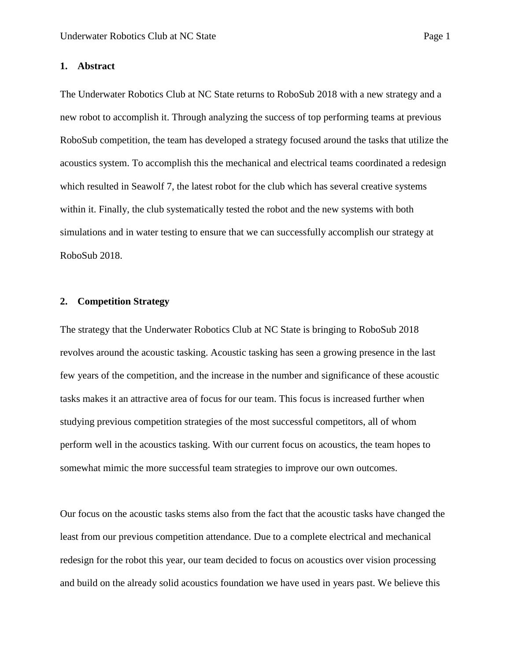#### **1. Abstract**

The Underwater Robotics Club at NC State returns to RoboSub 2018 with a new strategy and a new robot to accomplish it. Through analyzing the success of top performing teams at previous RoboSub competition, the team has developed a strategy focused around the tasks that utilize the acoustics system. To accomplish this the mechanical and electrical teams coordinated a redesign which resulted in Seawolf 7, the latest robot for the club which has several creative systems within it. Finally, the club systematically tested the robot and the new systems with both simulations and in water testing to ensure that we can successfully accomplish our strategy at RoboSub 2018.

#### **2. Competition Strategy**

The strategy that the Underwater Robotics Club at NC State is bringing to RoboSub 2018 revolves around the acoustic tasking. Acoustic tasking has seen a growing presence in the last few years of the competition, and the increase in the number and significance of these acoustic tasks makes it an attractive area of focus for our team. This focus is increased further when studying previous competition strategies of the most successful competitors, all of whom perform well in the acoustics tasking. With our current focus on acoustics, the team hopes to somewhat mimic the more successful team strategies to improve our own outcomes.

Our focus on the acoustic tasks stems also from the fact that the acoustic tasks have changed the least from our previous competition attendance. Due to a complete electrical and mechanical redesign for the robot this year, our team decided to focus on acoustics over vision processing and build on the already solid acoustics foundation we have used in years past. We believe this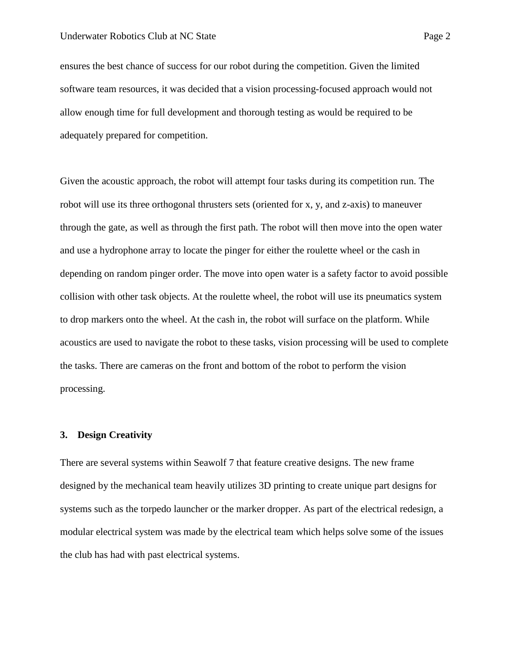ensures the best chance of success for our robot during the competition. Given the limited software team resources, it was decided that a vision processing-focused approach would not allow enough time for full development and thorough testing as would be required to be adequately prepared for competition.

Given the acoustic approach, the robot will attempt four tasks during its competition run. The robot will use its three orthogonal thrusters sets (oriented for x, y, and z-axis) to maneuver through the gate, as well as through the first path. The robot will then move into the open water and use a hydrophone array to locate the pinger for either the roulette wheel or the cash in depending on random pinger order. The move into open water is a safety factor to avoid possible collision with other task objects. At the roulette wheel, the robot will use its pneumatics system to drop markers onto the wheel. At the cash in, the robot will surface on the platform. While acoustics are used to navigate the robot to these tasks, vision processing will be used to complete the tasks. There are cameras on the front and bottom of the robot to perform the vision processing.

#### **3. Design Creativity**

There are several systems within Seawolf 7 that feature creative designs. The new frame designed by the mechanical team heavily utilizes 3D printing to create unique part designs for systems such as the torpedo launcher or the marker dropper. As part of the electrical redesign, a modular electrical system was made by the electrical team which helps solve some of the issues the club has had with past electrical systems.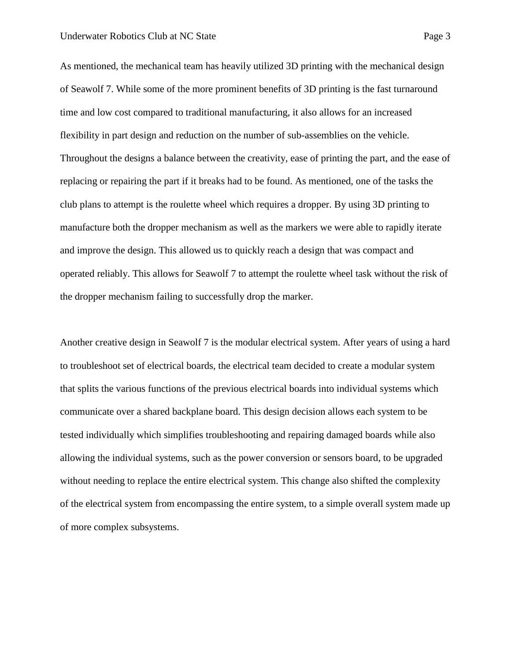As mentioned, the mechanical team has heavily utilized 3D printing with the mechanical design of Seawolf 7. While some of the more prominent benefits of 3D printing is the fast turnaround time and low cost compared to traditional manufacturing, it also allows for an increased flexibility in part design and reduction on the number of sub-assemblies on the vehicle. Throughout the designs a balance between the creativity, ease of printing the part, and the ease of replacing or repairing the part if it breaks had to be found. As mentioned, one of the tasks the club plans to attempt is the roulette wheel which requires a dropper. By using 3D printing to manufacture both the dropper mechanism as well as the markers we were able to rapidly iterate and improve the design. This allowed us to quickly reach a design that was compact and operated reliably. This allows for Seawolf 7 to attempt the roulette wheel task without the risk of the dropper mechanism failing to successfully drop the marker.

Another creative design in Seawolf 7 is the modular electrical system. After years of using a hard to troubleshoot set of electrical boards, the electrical team decided to create a modular system that splits the various functions of the previous electrical boards into individual systems which communicate over a shared backplane board. This design decision allows each system to be tested individually which simplifies troubleshooting and repairing damaged boards while also allowing the individual systems, such as the power conversion or sensors board, to be upgraded without needing to replace the entire electrical system. This change also shifted the complexity of the electrical system from encompassing the entire system, to a simple overall system made up of more complex subsystems.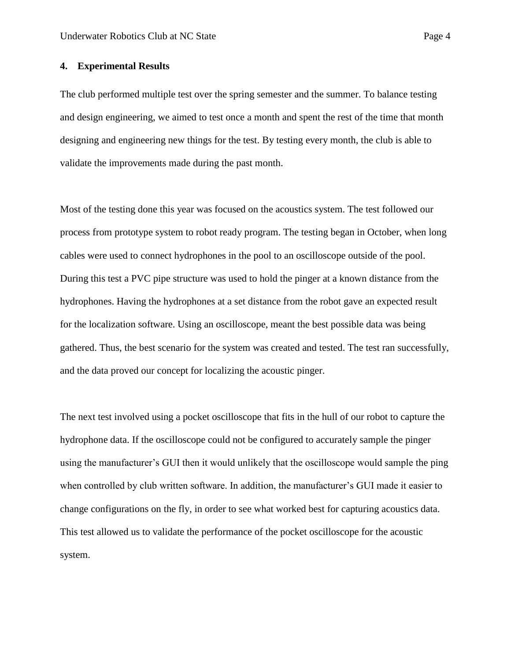### **4. Experimental Results**

The club performed multiple test over the spring semester and the summer. To balance testing and design engineering, we aimed to test once a month and spent the rest of the time that month designing and engineering new things for the test. By testing every month, the club is able to validate the improvements made during the past month.

Most of the testing done this year was focused on the acoustics system. The test followed our process from prototype system to robot ready program. The testing began in October, when long cables were used to connect hydrophones in the pool to an oscilloscope outside of the pool. During this test a PVC pipe structure was used to hold the pinger at a known distance from the hydrophones. Having the hydrophones at a set distance from the robot gave an expected result for the localization software. Using an oscilloscope, meant the best possible data was being gathered. Thus, the best scenario for the system was created and tested. The test ran successfully, and the data proved our concept for localizing the acoustic pinger.

The next test involved using a pocket oscilloscope that fits in the hull of our robot to capture the hydrophone data. If the oscilloscope could not be configured to accurately sample the pinger using the manufacturer's GUI then it would unlikely that the oscilloscope would sample the ping when controlled by club written software. In addition, the manufacturer's GUI made it easier to change configurations on the fly, in order to see what worked best for capturing acoustics data. This test allowed us to validate the performance of the pocket oscilloscope for the acoustic system.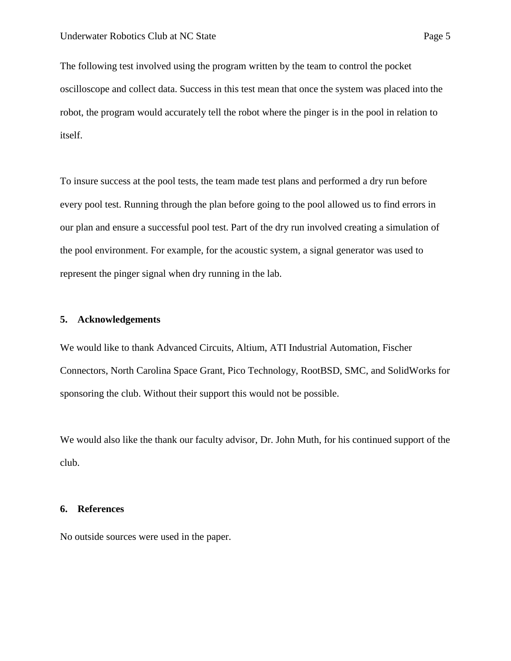The following test involved using the program written by the team to control the pocket oscilloscope and collect data. Success in this test mean that once the system was placed into the robot, the program would accurately tell the robot where the pinger is in the pool in relation to itself.

To insure success at the pool tests, the team made test plans and performed a dry run before every pool test. Running through the plan before going to the pool allowed us to find errors in our plan and ensure a successful pool test. Part of the dry run involved creating a simulation of the pool environment. For example, for the acoustic system, a signal generator was used to represent the pinger signal when dry running in the lab.

#### **5. Acknowledgements**

We would like to thank Advanced Circuits, Altium, ATI Industrial Automation, Fischer Connectors, North Carolina Space Grant, Pico Technology, RootBSD, SMC, and SolidWorks for sponsoring the club. Without their support this would not be possible.

We would also like the thank our faculty advisor, Dr. John Muth, for his continued support of the club.

#### **6. References**

No outside sources were used in the paper.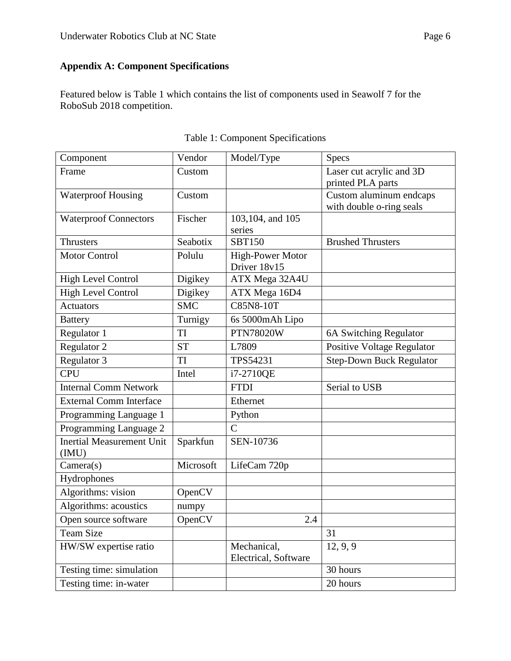# **Appendix A: Component Specifications**

Featured below is Table 1 which contains the list of components used in Seawolf 7 for the RoboSub 2018 competition.

| Component                                 | Vendor     | Model/Type                              | Specs                                               |
|-------------------------------------------|------------|-----------------------------------------|-----------------------------------------------------|
| Frame                                     | Custom     |                                         | Laser cut acrylic and 3D<br>printed PLA parts       |
| <b>Waterproof Housing</b>                 | Custom     |                                         | Custom aluminum endcaps<br>with double o-ring seals |
| <b>Waterproof Connectors</b>              | Fischer    | 103,104, and 105<br>series              |                                                     |
| Thrusters                                 | Seabotix   | <b>SBT150</b>                           | <b>Brushed Thrusters</b>                            |
| <b>Motor Control</b>                      | Polulu     | <b>High-Power Motor</b><br>Driver 18v15 |                                                     |
| <b>High Level Control</b>                 | Digikey    | ATX Mega 32A4U                          |                                                     |
| <b>High Level Control</b>                 | Digikey    | ATX Mega 16D4                           |                                                     |
| <b>Actuators</b>                          | <b>SMC</b> | <b>C85N8-10T</b>                        |                                                     |
| <b>Battery</b>                            | Turnigy    | 6s 5000mAh Lipo                         |                                                     |
| Regulator 1                               | TI         | <b>PTN78020W</b>                        | 6A Switching Regulator                              |
| Regulator 2                               | <b>ST</b>  | L7809                                   | Positive Voltage Regulator                          |
| Regulator 3                               | <b>TI</b>  | TPS54231                                | <b>Step-Down Buck Regulator</b>                     |
| <b>CPU</b>                                | Intel      | i7-2710QE                               |                                                     |
| <b>Internal Comm Network</b>              |            | <b>FTDI</b>                             | Serial to USB                                       |
| <b>External Comm Interface</b>            |            | Ethernet                                |                                                     |
| Programming Language 1                    |            | Python                                  |                                                     |
| Programming Language 2                    |            | $\overline{C}$                          |                                                     |
| <b>Inertial Measurement Unit</b><br>(IMU) | Sparkfun   | SEN-10736                               |                                                     |
| Camera(s)                                 | Microsoft  | LifeCam 720p                            |                                                     |
| Hydrophones                               |            |                                         |                                                     |
| Algorithms: vision                        | OpenCV     |                                         |                                                     |
| Algorithms: acoustics                     | numpy      |                                         |                                                     |
| Open source software                      | OpenCV     | 2.4                                     |                                                     |
| <b>Team Size</b>                          |            |                                         | 31                                                  |
| HW/SW expertise ratio                     |            | Mechanical,<br>Electrical, Software     | 12, 9, 9                                            |
| Testing time: simulation                  |            |                                         | 30 hours                                            |
| Testing time: in-water                    |            |                                         | 20 hours                                            |

## Table 1: Component Specifications